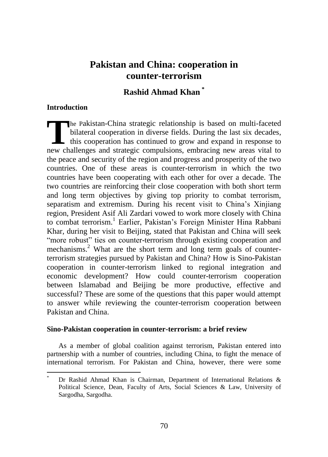# **Pakistan and China: cooperation in counter-terrorism**

## **Rashid Ahmad Khan \***

## **Introduction**

 $\overline{a}$ 

he Pakistan-China strategic relationship is based on multi-faceted bilateral cooperation in diverse fields. During the last six decades, this cooperation has continued to grow and expand in response to new challenges and strategic compulsions, embracing new areas vital to the peace and security of the region and progress and prosperity of the two countries. One of these areas is counter-terrorism in which the two countries have been cooperating with each other for over a decade. The two countries are reinforcing their close cooperation with both short term and long term objectives by giving top priority to combat terrorism, separatism and extremism. During his recent visit to China"s Xinjiang region, President Asif Ali Zardari vowed to work more closely with China to combat terrorism.<sup>1</sup> Earlier, Pakistan's Foreign Minister Hina Rabbani Khar, during her visit to Beijing, stated that Pakistan and China will seek "more robust" ties on counter-terrorism through existing cooperation and mechanisms.<sup>2</sup> What are the short term and long term goals of counterterrorism strategies pursued by Pakistan and China? How is Sino-Pakistan cooperation in counter-terrorism linked to regional integration and economic development? How could counter-terrorism cooperation between Islamabad and Beijing be more productive, effective and successful? These are some of the questions that this paper would attempt to answer while reviewing the counter-terrorism cooperation between Pakistan and China. **T** 

### **Sino-Pakistan cooperation in counter-terrorism: a brief review**

As a member of global coalition against terrorism, Pakistan entered into partnership with a number of countries, including China, to fight the menace of international terrorism. For Pakistan and China, however, there were some

Dr Rashid Ahmad Khan is Chairman, Department of International Relations  $\&$ Political Science, Dean, Faculty of Arts, Social Sciences & Law, University of Sargodha, Sargodha.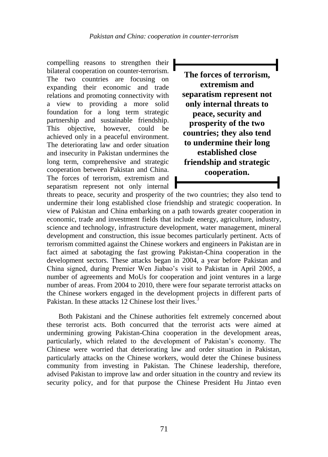compelling reasons to strengthen their bilateral cooperation on counter-terrorism. The two countries are focusing on expanding their economic and trade relations and promoting connectivity with a view to providing a more solid foundation for a long term strategic partnership and sustainable friendship. This objective, however, could be achieved only in a peaceful environment. The deteriorating law and order situation and insecurity in Pakistan undermines the long term, comprehensive and strategic cooperation between Pakistan and China. The forces of terrorism, extremism and separatism represent not only internal

**The forces of terrorism, extremism and separatism represent not only internal threats to peace, security and prosperity of the two countries; they also tend to undermine their long established close friendship and strategic cooperation.**

threats to peace, security and prosperity of the two countries; they also tend to undermine their long established close friendship and strategic cooperation. In view of Pakistan and China embarking on a path towards greater cooperation in economic, trade and investment fields that include energy, agriculture, industry, science and technology, infrastructure development, water management, mineral development and construction, this issue becomes particularly pertinent. Acts of terrorism committed against the Chinese workers and engineers in Pakistan are in fact aimed at sabotaging the fast growing Pakistan-China cooperation in the development sectors. These attacks began in 2004, a year before Pakistan and China signed, during Premier Wen Jiabao"s visit to Pakistan in April 2005, a number of agreements and MoUs for cooperation and joint ventures in a large number of areas. From 2004 to 2010, there were four separate terrorist attacks on the Chinese workers engaged in the development projects in different parts of Pakistan. In these attacks 12 Chinese lost their lives.<sup>3</sup>

Both Pakistani and the Chinese authorities felt extremely concerned about these terrorist acts. Both concurred that the terrorist acts were aimed at undermining growing Pakistan-China cooperation in the development areas, particularly, which related to the development of Pakistan"s economy. The Chinese were worried that deteriorating law and order situation in Pakistan, particularly attacks on the Chinese workers, would deter the Chinese business community from investing in Pakistan. The Chinese leadership, therefore, advised Pakistan to improve law and order situation in the country and review its security policy, and for that purpose the Chinese President Hu Jintao even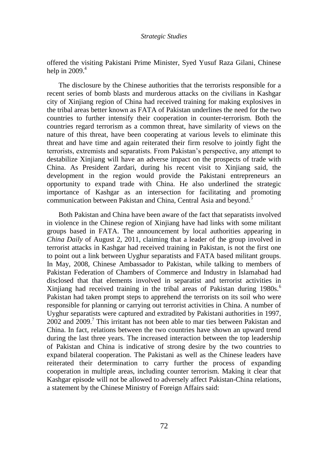offered the visiting Pakistani Prime Minister, Syed Yusuf Raza Gilani, Chinese help in  $2009.<sup>4</sup>$ 

The disclosure by the Chinese authorities that the terrorists responsible for a recent series of bomb blasts and murderous attacks on the civilians in Kashgar city of Xinjiang region of China had received training for making explosives in the tribal areas better known as FATA of Pakistan underlines the need for the two countries to further intensify their cooperation in counter-terrorism. Both the countries regard terrorism as a common threat, have similarity of views on the nature of this threat, have been cooperating at various levels to eliminate this threat and have time and again reiterated their firm resolve to jointly fight the terrorists, extremists and separatists. From Pakistan"s perspective, any attempt to destabilize Xinjiang will have an adverse impact on the prospects of trade with China. As President Zardari, during his recent visit to Xinjiang said, the development in the region would provide the Pakistani entrepreneurs an opportunity to expand trade with China. He also underlined the strategic importance of Kashgar as an intersection for facilitating and promoting communication between Pakistan and China, Central Asia and beyond.<sup>5</sup>

Both Pakistan and China have been aware of the fact that separatists involved in violence in the Chinese region of Xinjiang have had links with some militant groups based in FATA. The announcement by local authorities appearing in *China Daily* of August 2, 2011, claiming that a leader of the group involved in terrorist attacks in Kashgar had received training in Pakistan, is not the first one to point out a link between Uyghur separatists and FATA based militant groups. In May, 2008, Chinese Ambassador to Pakistan, while talking to members of Pakistan Federation of Chambers of Commerce and Industry in Islamabad had disclosed that that elements involved in separatist and terrorist activities in Xinjiang had received training in the tribal areas of Pakistan during  $1980s$ .<sup>6</sup> Pakistan had taken prompt steps to apprehend the terrorists on its soil who were responsible for planning or carrying out terrorist activities in China. A number of Uyghur separatists were captured and extradited by Pakistani authorities in 1997,  $2002$  and  $2009$ .<sup>7</sup> This irritant has not been able to mar ties between Pakistan and China. In fact, relations between the two countries have shown an upward trend during the last three years. The increased interaction between the top leadership of Pakistan and China is indicative of strong desire by the two countries to expand bilateral cooperation. The Pakistani as well as the Chinese leaders have reiterated their determination to carry further the process of expanding cooperation in multiple areas, including counter terrorism. Making it clear that Kashgar episode will not be allowed to adversely affect Pakistan-China relations, a statement by the Chinese Ministry of Foreign Affairs said: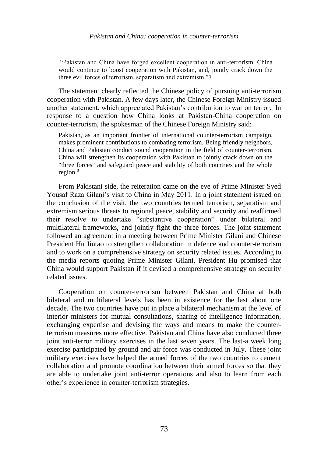#### *Pakistan and China: cooperation in counter-terrorism*

"Pakistan and China have forged excellent cooperation in anti-terrorism. China would continue to boost cooperation with Pakistan, and, jointly crack down the three evil forces of terrorism, separatism and extremism."7

The statement clearly reflected the Chinese policy of pursuing anti-terrorism cooperation with Pakistan. A few days later, the Chinese Foreign Ministry issued another statement, which appreciated Pakistan"s contribution to war on terror. In response to a question how China looks at Pakistan-China cooperation on counter-terrorism, the spokesman of the Chinese Foreign Ministry said:

Pakistan, as an important frontier of international counter-terrorism campaign, makes prominent contributions to combating terrorism. Being friendly neighbors, China and Pakistan conduct sound cooperation in the field of counter-terrorism. China will strengthen its cooperation with Pakistan to jointly crack down on the "three forces" and safeguard peace and stability of both countries and the whole region.<sup>8</sup>

From Pakistani side, the reiteration came on the eve of Prime Minister Syed Yousaf Raza Gilani"s visit to China in May 2011. In a joint statement issued on the conclusion of the visit, the two countries termed terrorism, separatism and extremism serious threats to regional peace, stability and security and reaffirmed their resolve to undertake "substantive cooperation" under bilateral and multilateral frameworks, and jointly fight the three forces. The joint statement followed an agreement in a meeting between Prime Minister Gilani and Chinese President Hu Jintao to strengthen collaboration in defence and counter-terrorism and to work on a comprehensive strategy on security related issues. According to the media reports quoting Prime Minister Gilani, President Hu promised that China would support Pakistan if it devised a comprehensive strategy on security related issues.

Cooperation on counter-terrorism between Pakistan and China at both bilateral and multilateral levels has been in existence for the last about one decade. The two countries have put in place a bilateral mechanism at the level of interior ministers for mutual consultations, sharing of intelligence information, exchanging expertise and devising the ways and means to make the counterterrorism measures more effective. Pakistan and China have also conducted three joint anti-terror military exercises in the last seven years. The last-a week long exercise participated by ground and air force was conducted in July. These joint military exercises have helped the armed forces of the two countries to cement collaboration and promote coordination between their armed forces so that they are able to undertake joint anti-terror operations and also to learn from each other"s experience in counter-terrorism strategies.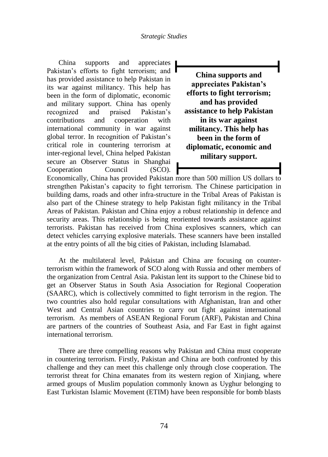China supports and appreciates Pakistan's efforts to fight terrorism; and has provided assistance to help Pakistan in its war against militancy. This help has been in the form of diplomatic, economic and military support. China has openly recognized and praised Pakistan"s contributions and cooperation with international community in war against global terror. In recognition of Pakistan"s critical role in countering terrorism at inter-regional level, China helped Pakistan secure an Observer Status in Shanghai Cooperation Council (SCO).

**China supports and appreciates Pakistan's efforts to fight terrorism; and has provided assistance to help Pakistan in its war against militancy. This help has been in the form of diplomatic, economic and military support.**

Economically, China has provided Pakistan more than 500 million US dollars to strengthen Pakistan"s capacity to fight terrorism. The Chinese participation in building dams, roads and other infra-structure in the Tribal Areas of Pakistan is also part of the Chinese strategy to help Pakistan fight militancy in the Tribal Areas of Pakistan. Pakistan and China enjoy a robust relationship in defence and security areas. This relationship is being reoriented towards assistance against terrorists. Pakistan has received from China explosives scanners, which can detect vehicles carrying explosive materials. These scanners have been installed at the entry points of all the big cities of Pakistan, including Islamabad.

At the multilateral level, Pakistan and China are focusing on counterterrorism within the framework of SCO along with Russia and other members of the organization from Central Asia. Pakistan lent its support to the Chinese bid to get an Observer Status in South Asia Association for Regional Cooperation (SAARC), which is collectively committed to fight terrorism in the region. The two countries also hold regular consultations with Afghanistan, Iran and other West and Central Asian countries to carry out fight against international terrorism. As members of ASEAN Regional Forum (ARF), Pakistan and China are partners of the countries of Southeast Asia, and Far East in fight against international terrorism.

There are three compelling reasons why Pakistan and China must cooperate in countering terrorism. Firstly, Pakistan and China are both confronted by this challenge and they can meet this challenge only through close cooperation. The terrorist threat for China emanates from its western region of Xinjiang, where armed groups of Muslim population commonly known as Uyghur belonging to East Turkistan Islamic Movement (ETIM) have been responsible for bomb blasts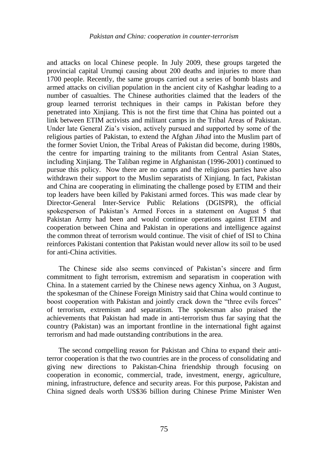and attacks on local Chinese people. In July 2009, these groups targeted the provincial capital Urumqi causing about 200 deaths and injuries to more than 1700 people. Recently, the same groups carried out a series of bomb blasts and armed attacks on civilian population in the ancient city of Kashghar leading to a number of casualties. The Chinese authorities claimed that the leaders of the group learned terrorist techniques in their camps in Pakistan before they penetrated into Xinjiang. This is not the first time that China has pointed out a link between ETIM activists and militant camps in the Tribal Areas of Pakistan. Under late General Zia"s vision, actively pursued and supported by some of the religious parties of Pakistan, to extend the Afghan *Jihad* into the Muslim part of the former Soviet Union, the Tribal Areas of Pakistan did become, during 1980s, the centre for imparting training to the militants from Central Asian States, including Xinjiang. The Taliban regime in Afghanistan (1996-2001) continued to pursue this policy. Now there are no camps and the religious parties have also withdrawn their support to the Muslim separatists of Xinjiang. In fact, Pakistan and China are cooperating in eliminating the challenge posed by ETIM and their top leaders have been killed by Pakistani armed forces. This was made clear by Director-General Inter-Service Public Relations (DGISPR), the official spokesperson of Pakistan"s Armed Forces in a statement on August 5 that Pakistan Army had been and would continue operations against ETIM and cooperation between China and Pakistan in operations and intelligence against the common threat of terrorism would continue. The visit of chief of ISI to China reinforces Pakistani contention that Pakistan would never allow its soil to be used for anti-China activities.

The Chinese side also seems convinced of Pakistan"s sincere and firm commitment to fight terrorism, extremism and separatism in cooperation with China. In a statement carried by the Chinese news agency Xinhua, on 3 August, the spokesman of the Chinese Foreign Ministry said that China would continue to boost cooperation with Pakistan and jointly crack down the "three evils forces" of terrorism, extremism and separatism. The spokesman also praised the achievements that Pakistan had made in anti-terrorism thus far saying that the country (Pakistan) was an important frontline in the international fight against terrorism and had made outstanding contributions in the area.

The second compelling reason for Pakistan and China to expand their antiterror cooperation is that the two countries are in the process of consolidating and giving new directions to Pakistan-China friendship through focusing on cooperation in economic, commercial, trade, investment, energy, agriculture, mining, infrastructure, defence and security areas. For this purpose, Pakistan and China signed deals worth US\$36 billion during Chinese Prime Minister Wen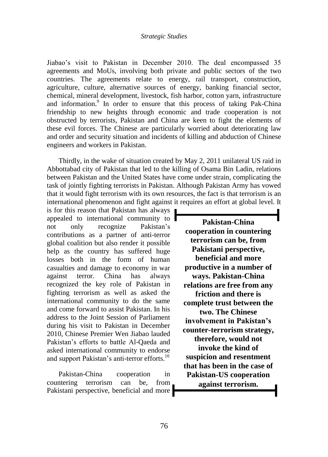#### *Strategic Studies*

Jiabao"s visit to Pakistan in December 2010. The deal encompassed 35 agreements and MoUs, involving both private and public sectors of the two countries. The agreements relate to energy, rail transport, construction, agriculture, culture, alternative sources of energy, banking financial sector, chemical, mineral development, livestock, fish harbor, cotton yarn, infrastructure and information.<sup>9</sup> In order to ensure that this process of taking Pak-China friendship to new heights through economic and trade cooperation is not obstructed by terrorists, Pakistan and China are keen to fight the elements of these evil forces. The Chinese are particularly worried about deteriorating law and order and security situation and incidents of killing and abduction of Chinese engineers and workers in Pakistan.

Thirdly, in the wake of situation created by May 2, 2011 unilateral US raid in Abbottabad city of Pakistan that led to the killing of Osama Bin Ladin, relations between Pakistan and the United States have come under strain, complicating the task of jointly fighting terrorists in Pakistan. Although Pakistan Army has vowed that it would fight terrorism with its own resources, the fact is that terrorism is an international phenomenon and fight against it requires an effort at global level. It

is for this reason that Pakistan has always appealed to international community to not only recognize Pakistan"s contributions as a partner of anti-terror global coalition but also render it possible help as the country has suffered huge losses both in the form of human casualties and damage to economy in war against terror. China has always recognized the key role of Pakistan in fighting terrorism as well as asked the international community to do the same and come forward to assist Pakistan. In his address to the Joint Session of Parliament during his visit to Pakistan in December 2010, Chinese Premier Wen Jiabao lauded Pakistan's efforts to battle Al-Oaeda and asked international community to endorse and support Pakistan's anti-terror efforts.<sup>10</sup>

Pakistan-China cooperation in countering terrorism can be, from Pakistani perspective, beneficial and more

**Pakistan-China cooperation in countering terrorism can be, from Pakistani perspective, beneficial and more productive in a number of ways. Pakistan-China relations are free from any friction and there is complete trust between the two. The Chinese involvement in Pakistan's counter-terrorism strategy, therefore, would not invoke the kind of suspicion and resentment that has been in the case of Pakistan-US cooperation against terrorism.**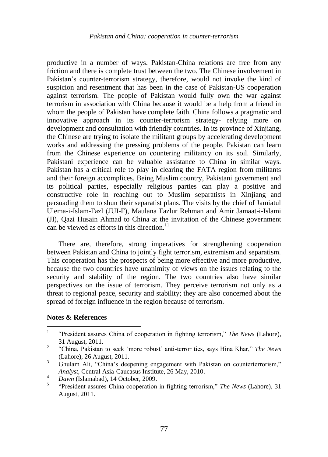productive in a number of ways. Pakistan-China relations are free from any friction and there is complete trust between the two. The Chinese involvement in Pakistan's counter-terrorism strategy, therefore, would not invoke the kind of suspicion and resentment that has been in the case of Pakistan-US cooperation against terrorism. The people of Pakistan would fully own the war against terrorism in association with China because it would be a help from a friend in whom the people of Pakistan have complete faith. China follows a pragmatic and innovative approach in its counter-terrorism strategy- relying more on development and consultation with friendly countries. In its province of Xinjiang, the Chinese are trying to isolate the militant groups by accelerating development works and addressing the pressing problems of the people. Pakistan can learn from the Chinese experience on countering militancy on its soil. Similarly, Pakistani experience can be valuable assistance to China in similar ways. Pakistan has a critical role to play in clearing the FATA region from militants and their foreign accomplices. Being Muslim country, Pakistani government and its political parties, especially religious parties can play a positive and constructive role in reaching out to Muslim separatists in Xinjiang and persuading them to shun their separatist plans. The visits by the chief of Jamiatul Ulema-i-Islam-Fazl (JUI-F), Maulana Fazlur Rehman and Amir Jamaat-i-Islami (JI), Qazi Husain Ahmad to China at the invitation of the Chinese government can be viewed as efforts in this direction. $^{11}$ 

There are, therefore, strong imperatives for strengthening cooperation between Pakistan and China to jointly fight terrorism, extremism and separatism. This cooperation has the prospects of being more effective and more productive, because the two countries have unanimity of views on the issues relating to the security and stability of the region. The two countries also have similar perspectives on the issue of terrorism. They perceive terrorism not only as a threat to regional peace, security and stability; they are also concerned about the spread of foreign influence in the region because of terrorism.

### **Notes & References**

 $\frac{1}{1}$ "President assures China of cooperation in fighting terrorism," *The News* (Lahore), 31 August, 2011.

 $\mathcal{L}$ "China, Pakistan to seek "more robust" anti-terror ties, says Hina Khar," *The News* (Lahore), 26 August, 2011.

<sup>&</sup>lt;sup>3</sup> Ghulam Ali, "China's deepening engagement with Pakistan on counterterrorism," *Analyst*, Central Asia-Caucasus Institute, 26 May, 2010.

<sup>4</sup> *Dawn* (Islamabad), 14 October, 2009.

<sup>5</sup> "President assures China cooperation in fighting terrorism," *The News* (Lahore), 31 August, 2011.